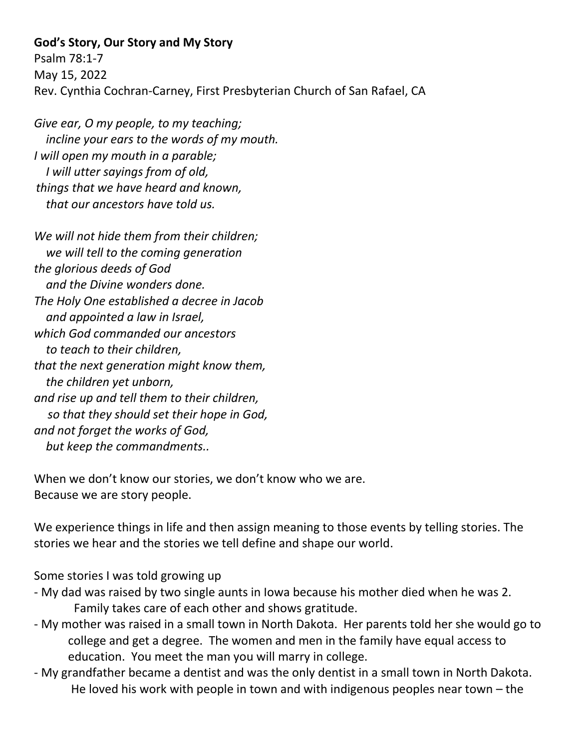## **God's Story, Our Story and My Story**

Psalm 78:1-7 May 15, 2022 Rev. Cynthia Cochran-Carney, First Presbyterian Church of San Rafael, CA

*Give ear, O my people, to my teaching; incline your ears to the words of my mouth. I will open my mouth in a parable; I will utter sayings from of old, things that we have heard and known, that our ancestors have told us.*

*We will not hide them from their children; we will tell to the coming generation the glorious deeds of God and the Divine wonders done. The Holy One established a decree in Jacob and appointed a law in Israel, which God commanded our ancestors to teach to their children, that the next generation might know them, the children yet unborn, and rise up and tell them to their children, so that they should set their hope in God, and not forget the works of God, but keep the commandments..*

When we don't know our stories, we don't know who we are. Because we are story people.

We experience things in life and then assign meaning to those events by telling stories. The stories we hear and the stories we tell define and shape our world.

Some stories I was told growing up

- My dad was raised by two single aunts in Iowa because his mother died when he was 2. Family takes care of each other and shows gratitude.
- My mother was raised in a small town in North Dakota. Her parents told her she would go to college and get a degree. The women and men in the family have equal access to education. You meet the man you will marry in college.
- My grandfather became a dentist and was the only dentist in a small town in North Dakota. He loved his work with people in town and with indigenous peoples near town – the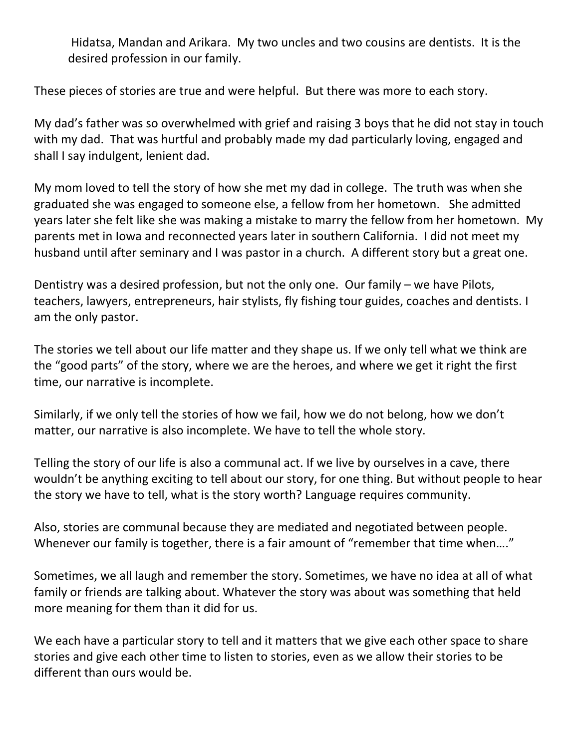Hidatsa, Mandan and Arikara. My two uncles and two cousins are dentists. It is the desired profession in our family.

These pieces of stories are true and were helpful. But there was more to each story.

My dad's father was so overwhelmed with grief and raising 3 boys that he did not stay in touch with my dad. That was hurtful and probably made my dad particularly loving, engaged and shall I say indulgent, lenient dad.

My mom loved to tell the story of how she met my dad in college. The truth was when she graduated she was engaged to someone else, a fellow from her hometown. She admitted years later she felt like she was making a mistake to marry the fellow from her hometown. My parents met in Iowa and reconnected years later in southern California. I did not meet my husband until after seminary and I was pastor in a church. A different story but a great one.

Dentistry was a desired profession, but not the only one. Our family – we have Pilots, teachers, lawyers, entrepreneurs, hair stylists, fly fishing tour guides, coaches and dentists. I am the only pastor.

The stories we tell about our life matter and they shape us. If we only tell what we think are the "good parts" of the story, where we are the heroes, and where we get it right the first time, our narrative is incomplete.

Similarly, if we only tell the stories of how we fail, how we do not belong, how we don't matter, our narrative is also incomplete. We have to tell the whole story.

Telling the story of our life is also a communal act. If we live by ourselves in a cave, there wouldn't be anything exciting to tell about our story, for one thing. But without people to hear the story we have to tell, what is the story worth? Language requires community.

Also, stories are communal because they are mediated and negotiated between people. Whenever our family is together, there is a fair amount of "remember that time when…."

Sometimes, we all laugh and remember the story. Sometimes, we have no idea at all of what family or friends are talking about. Whatever the story was about was something that held more meaning for them than it did for us.

We each have a particular story to tell and it matters that we give each other space to share stories and give each other time to listen to stories, even as we allow their stories to be different than ours would be.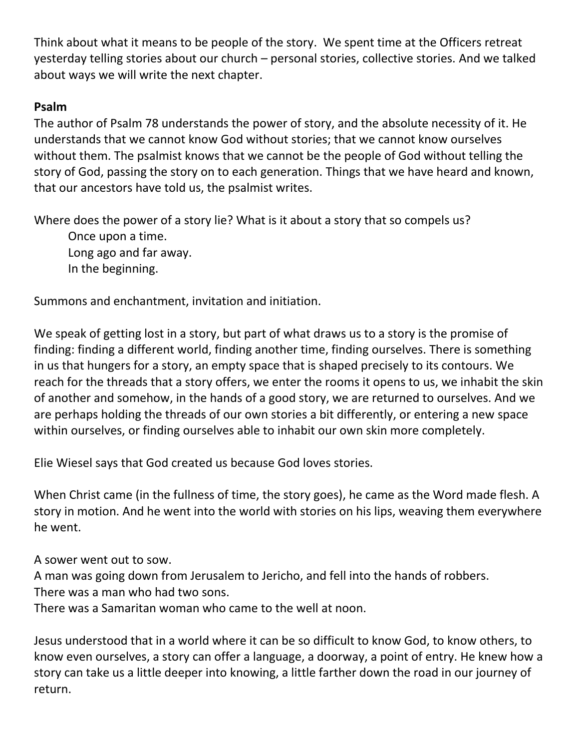Think about what it means to be people of the story. We spent time at the Officers retreat yesterday telling stories about our church – personal stories, collective stories. And we talked about ways we will write the next chapter.

## **Psalm**

The author of Psalm 78 understands the power of story, and the absolute necessity of it. He understands that we cannot know God without stories; that we cannot know ourselves without them. The psalmist knows that we cannot be the people of God without telling the story of God, passing the story on to each generation. Things that we have heard and known, that our ancestors have told us, the psalmist writes.

Where does the power of a story lie? What is it about a story that so compels us? Once upon a time. Long ago and far away. In the beginning.

Summons and enchantment, invitation and initiation.

We speak of getting lost in a story, but part of what draws us to a story is the promise of finding: finding a different world, finding another time, finding ourselves. There is something in us that hungers for a story, an empty space that is shaped precisely to its contours. We reach for the threads that a story offers, we enter the rooms it opens to us, we inhabit the skin of another and somehow, in the hands of a good story, we are returned to ourselves. And we are perhaps holding the threads of our own stories a bit differently, or entering a new space within ourselves, or finding ourselves able to inhabit our own skin more completely.

Elie Wiesel says that God created us because God loves stories.

When Christ came (in the fullness of time, the story goes), he came as the Word made flesh. A story in motion. And he went into the world with stories on his lips, weaving them everywhere he went.

A sower went out to sow.

A man was going down from Jerusalem to Jericho, and fell into the hands of robbers.

There was a man who had two sons.

There was a Samaritan woman who came to the well at noon.

Jesus understood that in a world where it can be so difficult to know God, to know others, to know even ourselves, a story can offer a language, a doorway, a point of entry. He knew how a story can take us a little deeper into knowing, a little farther down the road in our journey of return.